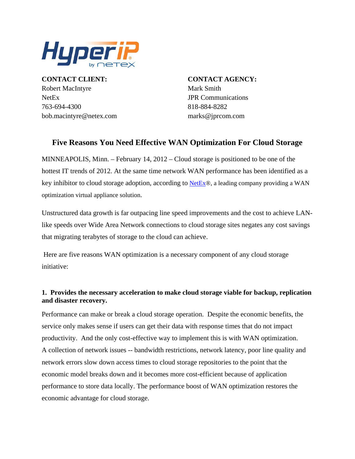

NetEx JPR Communications 4300 763-694- 818-884-8282 **CONTACT CLIENT:** Robert MacIntyre Mark Smith bob.macintyre@netex.com

**CONTACT AGENCY:** marks@jprcom.com

# **Five Reasons You Need Effective WAN Optimization For Cloud Storage**

MINNEAPOLIS, Minn. – February 14, 2012 – Cloud storage is positioned to be one of the hottest IT trends of 2012. At the same time network WAN performance has been identified as a key inhibitor to cloud storage adoption, according to [NetEx](http://www.netex.com/)®, a leading company providing a WAN optimization virtual appliance solution.

Unstructured data growth is far outpacing line speed improvements and the cost to achieve LAN like speeds over Wide Area Network connections to cloud storage sites negates any cost savings that migrating terabytes of storage to the cloud can achieve.

 Here are five reasons WAN optimization is a necessary component of any cloud storage initiative:

## **. Provides the necessary acceleration to make cloud storage viable for backup, replication 1 and disaster recovery.**

Performance can make or break a cloud storage operation. Despite the economic benefits, the productivity. And the only cost-effective way to implement this is with WAN optimization. performance to store data locally. The performance boost of WAN optimization restores the service only makes sense if users can get their data with response times that do not impact A collection of network issues -- bandwidth restrictions, network latency, poor line quality and network errors slow down access times to cloud storage repositories to the point that the economic model breaks down and it becomes more cost-efficient because of application economic advantage for cloud storage.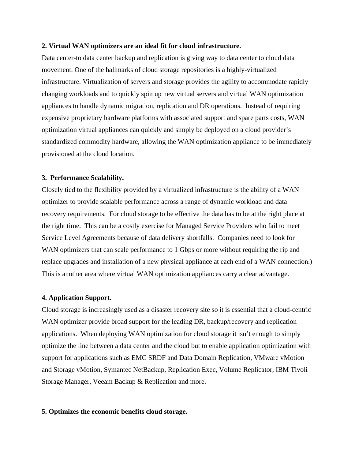#### **2 . Virtual WAN optimizers are an ideal fit for cloud infrastructure.**

Data center-to data center backup and replication is giving way to data center to cloud data movement. One of the hallmarks of cloud storage repositories is a highly-virtualized infrastructure. Virtualization of servers and storage provides the agility to accommoda te rapidly changing workloads and to quickly spin up new virtual servers and virtual WAN optimization appliances to handle dynamic migration, replication and DR operations. Instead of requiring expensive proprietary hardware platforms with associated support and spare parts costs, WAN optimization virtual appliances can quickly and simply be deployed on a cloud provider's standardized commodity hardware, allowing the WAN optimization appliance to be immed iately provisioned at the cloud location.

#### **3 . Performance Scalability.**

Closely tied to the flexibility pr ovided by a virtualized infrastructure is the ability of a WAN optimizer to provide scalable performance across a range of dynamic workload and data recovery requirements. For cloud storage to be effective the data has to be at the right place at the right time. This can be a costly exercise for Managed Service Providers who fail to meet Service Level Agreements because of data delivery shortfalls. Companies need to look for WAN optimizers that can scale performance to 1 Gbps or more without requiring the rip and replace upgrades and installation of a new physical appliance at each end of a WAN connection.) This is another area where virtual WAN optimization appliances carry a clear advantage.

#### **4 . Application Support.**

Cloud storage is increasin gly used as a disaster recovery site so it is essential that a cloud-centric WAN optimizer provide broad support for the leading DR, backup/recovery and replication applications. When deploying WAN optimization for cloud storage it isn't enough to simply optimize the line between a data center and the cloud but to enable application optimization w ith support for applications such as EMC SRDF and Data Domain Replication, VMware vMotion and Storage vMotion, Symantec NetBackup, Replication Exec, Volume Replicator, IBM Tivoli Storage Manager, Veeam Backup & Replication and more.

#### **5. Optimizes the economic benefits cloud storage.**